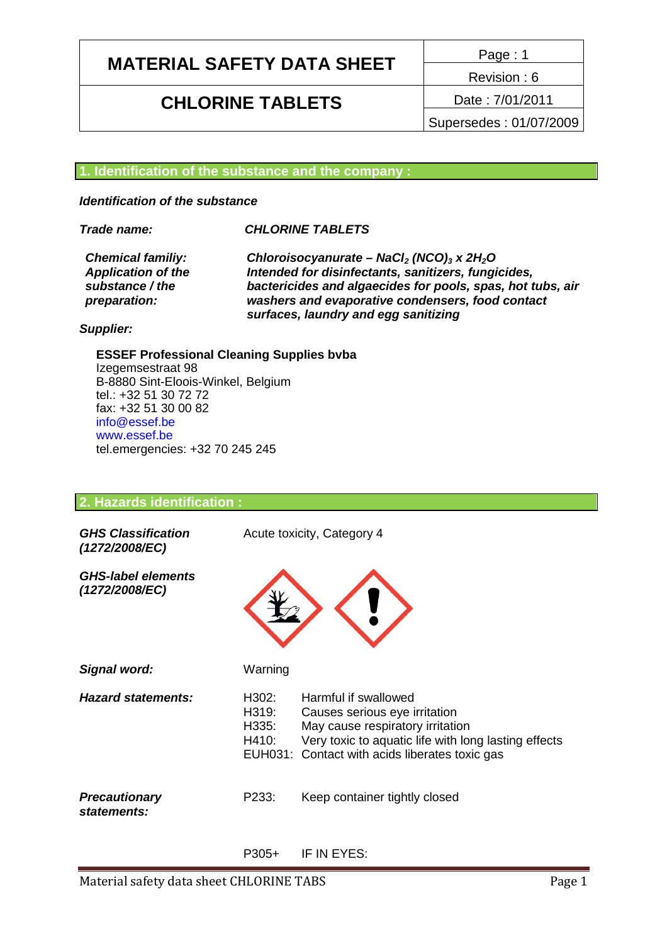# **MATERIAL SAFETY DATA SHEET** Page: 1

## **CHLORINE TABLETS** Date : 7/01/2011

Revision : 6

Supersedes : 01/07/2009

#### **1. Identification of the substance and the company :**

*Identification of the substance*

#### *Trade name: CHLORINE TABLETS*

*Application of the substance / the preparation:*

*Chemical familiy: Chloroisocyanurate – NaCl<sup>2</sup> (NCO)<sup>3</sup> x 2H2O Intended for disinfectants, sanitizers, fungicides, bactericides and algaecides for pools, spas, hot tubs, air washers and evaporative condensers, food contact surfaces, laundry and egg sanitizing*

#### *Supplier:*

**ESSEF Professional Cleaning Supplies bvba** Izegemsestraat 98 B-8880 Sint-Eloois-Winkel, Belgium tel.: +32 51 30 72 72 fax: +32 51 30 00 82 info@essef.be www.essef.be tel.emergencies: +32 70 245 245

#### **2. Hazards identification :**

| <b>GHS Classification</b><br>(1272/2008/EC) |                                  | Acute toxicity, Category 4                                                                                                                                                                          |
|---------------------------------------------|----------------------------------|-----------------------------------------------------------------------------------------------------------------------------------------------------------------------------------------------------|
| <b>GHS-label elements</b><br>(1272/2008/EC) |                                  |                                                                                                                                                                                                     |
| Signal word:                                | Warning                          |                                                                                                                                                                                                     |
| <b>Hazard statements:</b>                   | H302:<br>H319:<br>H335:<br>H410: | Harmful if swallowed<br>Causes serious eye irritation<br>May cause respiratory irritation<br>Very toxic to aquatic life with long lasting effects<br>EUH031: Contact with acids liberates toxic gas |
| <b>Precautionary</b><br>statements:         | P233:                            | Keep container tightly closed                                                                                                                                                                       |
|                                             | P305+                            | IF IN FYFS <sup>.</sup>                                                                                                                                                                             |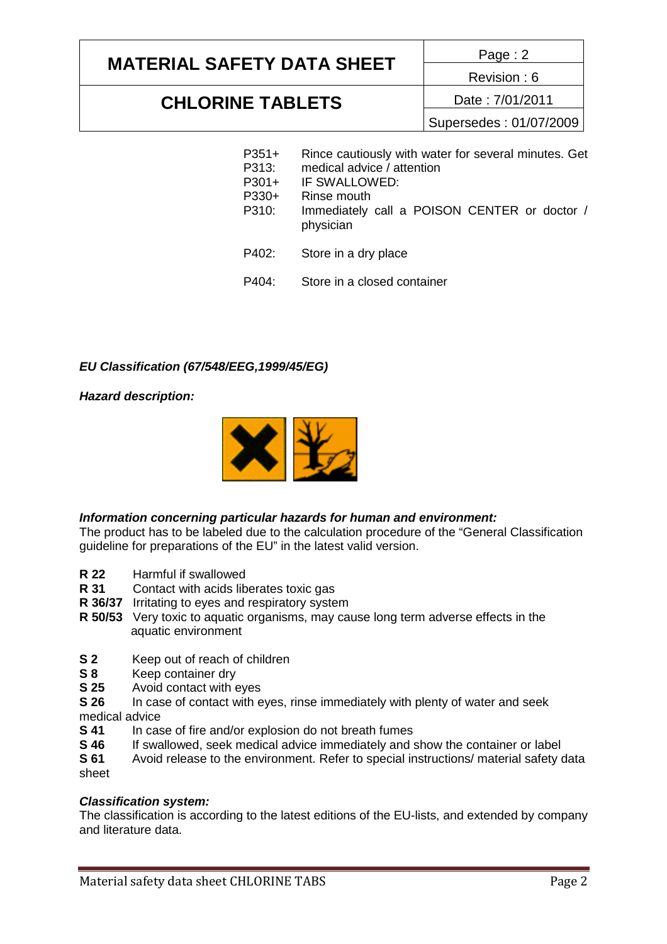# **MATERIAL SAFETY DATA SHEET** Page: 2

Revision : 6

### **CHLORINE TABLETS** Date : 7/01/2011

Supersedes : 01/07/2009

- P351+ P313: P301+ P330+ P310: P402: Rince cautiously with water for several minutes. Get medical advice / attention IF SWALLOWED: Rinse mouth Immediately call a POISON CENTER or doctor / physician Store in a dry place
- P404: Store in a closed container

### *EU Classification (67/548/EEG,1999/45/EG)*

*Hazard description:*



### *Information concerning particular hazards for human and environment:*

The product has to be labeled due to the calculation procedure of the "General Classification guideline for preparations of the EU" in the latest valid version.

- **R 22** Harmful if swallowed
- **R 31** Contact with acids liberates toxic gas
- **R 36/37** Irritating to eyes and respiratory system
- **R 50/53** Very toxic to aquatic organisms, may cause long term adverse effects in the aquatic environment
- **S 2** Keep out of reach of children
- **S 8** Keep container dry
- **S 25** Avoid contact with eyes
- **S 26** In case of contact with eyes, rinse immediately with plenty of water and seek medical advice
- **S 41** In case of fire and/or explosion do not breath fumes
- **S 46** If swallowed, seek medical advice immediately and show the container or label
- **S 61** Avoid release to the environment. Refer to special instructions/ material safety data sheet

### *Classification system:*

The classification is according to the latest editions of the EU-lists, and extended by company and literature data.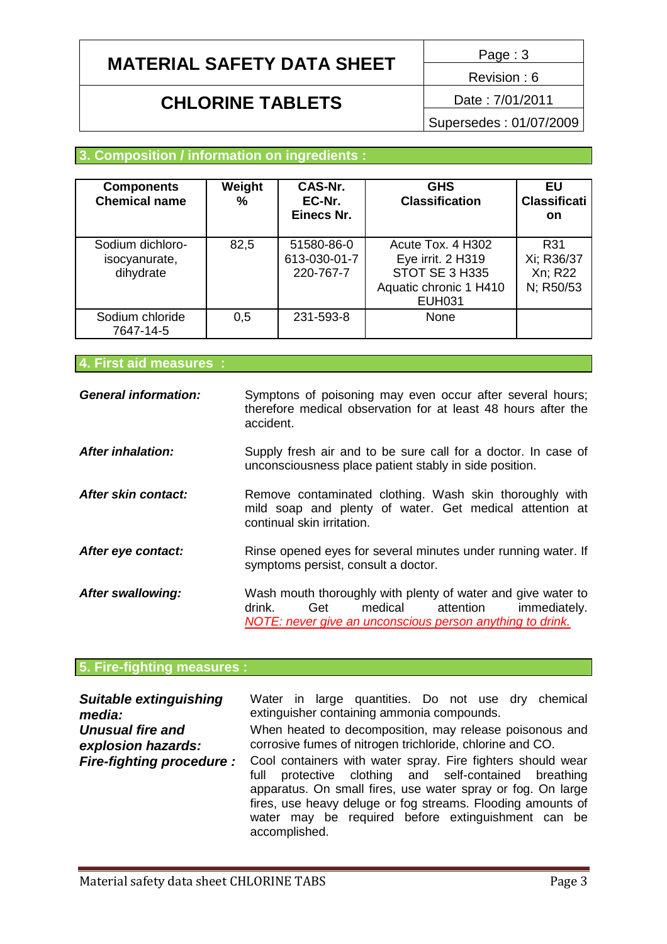# **MATERIAL SAFETY DATA SHEET**  $\frac{Page:3}{Type:3}$

## **CHLORINE TABLETS** Date : 7/01/2011

Revision : 6

Supersedes : 01/07/2009

### **3. Composition / information on ingredients :**

| <b>Components</b><br><b>Chemical name</b>      | Weight<br>℅ | CAS-Nr.<br>EC-Nr.<br>Einecs Nr.         | <b>GHS</b><br><b>Classification</b>                                                                 | EU<br><b>Classificati</b><br>on           |
|------------------------------------------------|-------------|-----------------------------------------|-----------------------------------------------------------------------------------------------------|-------------------------------------------|
| Sodium dichloro-<br>isocyanurate,<br>dihydrate | 82,5        | 51580-86-0<br>613-030-01-7<br>220-767-7 | Acute Tox, 4 H302<br>Eye irrit. 2 H319<br>STOT SE 3 H335<br>Aquatic chronic 1 H410<br><b>EUH031</b> | R31<br>Xi; R36/37<br>Xn; R22<br>N; R50/53 |
| Sodium chloride<br>7647-14-5                   | 0,5         | 231-593-8                               | None                                                                                                |                                           |

**4. First aid measures :**

| <b>General information:</b> | Symptons of poisoning may even occur after several hours;<br>therefore medical observation for at least 48 hours after the<br>accident.                                            |
|-----------------------------|------------------------------------------------------------------------------------------------------------------------------------------------------------------------------------|
| <b>After inhalation:</b>    | Supply fresh air and to be sure call for a doctor. In case of<br>unconsciousness place patient stably in side position.                                                            |
| After skin contact:         | Remove contaminated clothing. Wash skin thoroughly with<br>mild soap and plenty of water. Get medical attention at<br>continual skin irritation.                                   |
| After eye contact:          | Rinse opened eyes for several minutes under running water. If<br>symptoms persist, consult a doctor.                                                                               |
| <b>After swallowing:</b>    | Wash mouth thoroughly with plenty of water and give water to<br>drink.<br>medical<br>attention<br>Get<br>immediately.<br>NOTE: never give an unconscious person anything to drink. |

## **5. Fire-fighting measures :**

| <b>Suitable extinguishing</b>   | Water in large quantities. Do not use dry chemical                                                                                                                                                                                                                                                                           |  |  |
|---------------------------------|------------------------------------------------------------------------------------------------------------------------------------------------------------------------------------------------------------------------------------------------------------------------------------------------------------------------------|--|--|
| media:                          | extinguisher containing ammonia compounds.                                                                                                                                                                                                                                                                                   |  |  |
| <b>Unusual fire and</b>         | When heated to decomposition, may release poisonous and                                                                                                                                                                                                                                                                      |  |  |
| explosion hazards:              | corrosive fumes of nitrogen trichloride, chlorine and CO.                                                                                                                                                                                                                                                                    |  |  |
| <b>Fire-fighting procedure:</b> | Cool containers with water spray. Fire fighters should wear<br>protective clothing and self-contained breathing<br>full<br>apparatus. On small fires, use water spray or fog. On large<br>fires, use heavy deluge or fog streams. Flooding amounts of<br>water may be required before extinguishment can be<br>accomplished. |  |  |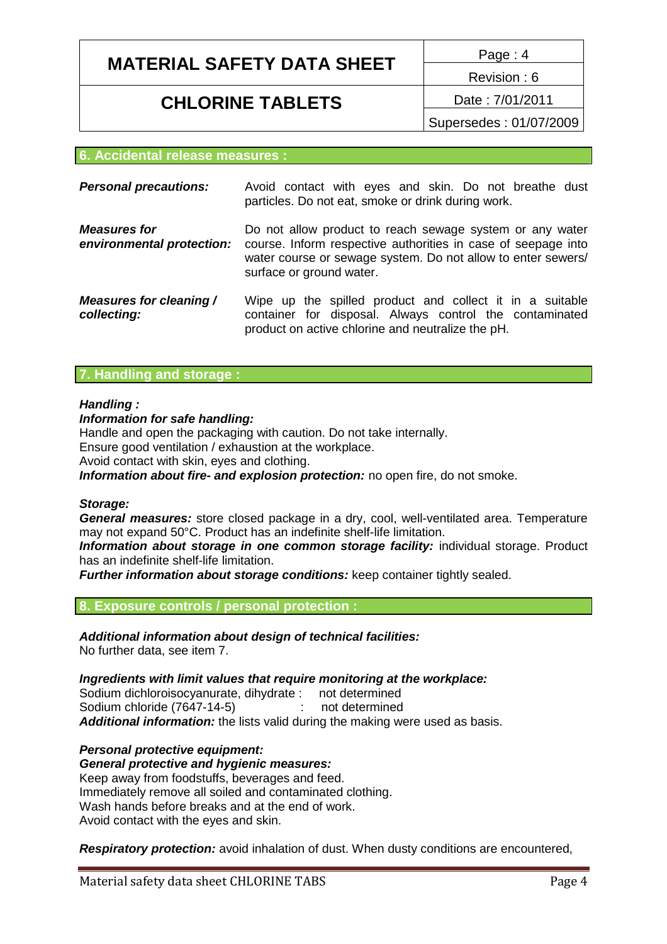# **MATERIAL SAFETY DATA SHEET** Page: 4

## **CHLORINE TABLETS** Date : 7/01/2011

Revision : 6

Supersedes : 01/07/2009

#### **6. Accidental release measures :**

| <b>Personal precautions:</b>                     | Avoid contact with eyes and skin. Do not breathe dust<br>particles. Do not eat, smoke or drink during work.                                                                                                           |
|--------------------------------------------------|-----------------------------------------------------------------------------------------------------------------------------------------------------------------------------------------------------------------------|
| <b>Measures for</b><br>environmental protection: | Do not allow product to reach sewage system or any water<br>course. Inform respective authorities in case of seepage into<br>water course or sewage system. Do not allow to enter sewers/<br>surface or ground water. |
| Measures for cleaning /<br>collecting:           | Wipe up the spilled product and collect it in a suitable<br>container for disposal. Always control the contaminated<br>product on active chlorine and neutralize the pH.                                              |

#### **7. Handling and storage :**

#### *Handling :*

#### *Information for safe handling:*

Handle and open the packaging with caution. Do not take internally.

Ensure good ventilation / exhaustion at the workplace.

Avoid contact with skin, eyes and clothing.

*Information about fire- and explosion protection:* no open fire, do not smoke.

#### *Storage:*

*General measures:* store closed package in a dry, cool, well-ventilated area. Temperature may not expand 50°C. Product has an indefinite shelf-life limitation.

*Information about storage in one common storage facility:* individual storage. Product has an indefinite shelf-life limitation.

*Further information about storage conditions:* keep container tightly sealed.

#### **8. Exposure controls / personal protection :**

*Additional information about design of technical facilities:* No further data, see item 7.

*Ingredients with limit values that require monitoring at the workplace:*

Sodium dichloroisocyanurate, dihydrate : not determined Sodium chloride (7647-14-5) : not determined *Additional information:* the lists valid during the making were used as basis.

*Personal protective equipment: General protective and hygienic measures:* Keep away from foodstuffs, beverages and feed. Immediately remove all soiled and contaminated clothing. Wash hands before breaks and at the end of work. Avoid contact with the eyes and skin.

*Respiratory protection:* avoid inhalation of dust. When dusty conditions are encountered,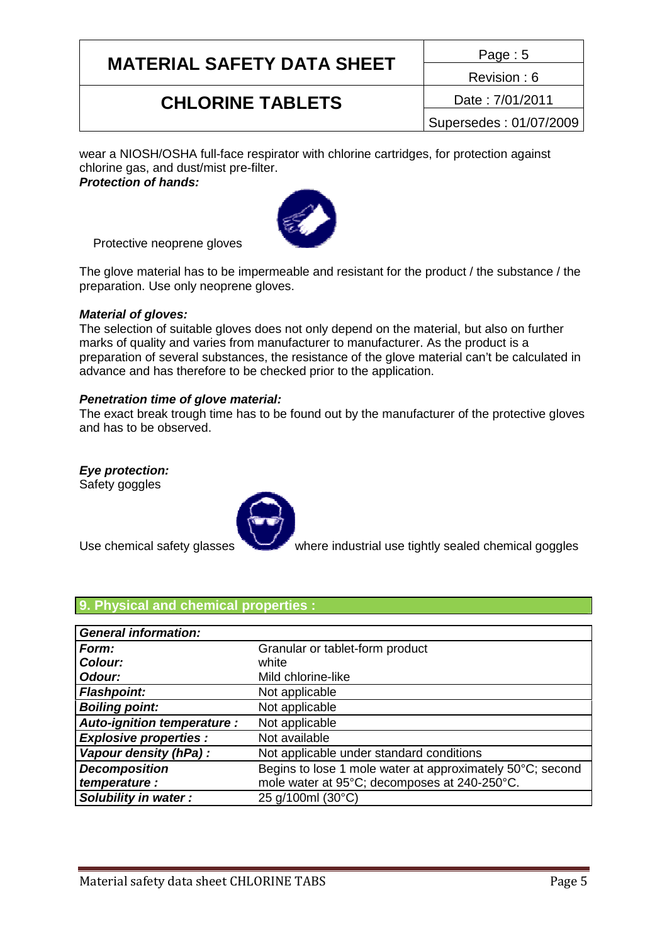# **MATERIAL SAFETY DATA SHEET** Page : 5

## **CHLORINE TABLETS** Date : 7/01/2011

Revision : 6

Supersedes : 01/07/2009

wear a NIOSH/OSHA full-face respirator with chlorine cartridges, for protection against chlorine gas, and dust/mist pre-filter.

*Protection of hands:*



Protective neoprene gloves

The glove material has to be impermeable and resistant for the product / the substance / the preparation. Use only neoprene gloves.

#### *Material of gloves:*

The selection of suitable gloves does not only depend on the material, but also on further marks of quality and varies from manufacturer to manufacturer. As the product is a preparation of several substances, the resistance of the glove material can't be calculated in advance and has therefore to be checked prior to the application.

#### *Penetration time of glove material:*

The exact break trough time has to be found out by the manufacturer of the protective gloves and has to be observed.

### *Eye protection:*

Safety goggles



Use chemical safety glasses where industrial use tightly sealed chemical goggles

### **9. Physical and chemical properties :**

| <b>General information:</b>       |                                                           |
|-----------------------------------|-----------------------------------------------------------|
| Form:                             | Granular or tablet-form product                           |
| Colour:                           | white                                                     |
| Odour:                            | Mild chlorine-like                                        |
| <b>Flashpoint:</b>                | Not applicable                                            |
| <b>Boiling point:</b>             | Not applicable                                            |
| <b>Auto-ignition temperature:</b> | Not applicable                                            |
| <b>Explosive properties:</b>      | Not available                                             |
| Vapour density (hPa) :            | Not applicable under standard conditions                  |
| <b>Decomposition</b>              | Begins to lose 1 mole water at approximately 50°C; second |
| temperature :                     | mole water at 95°C; decomposes at 240-250°C.              |
| Solubility in water:              | 25 g/100ml (30°C)                                         |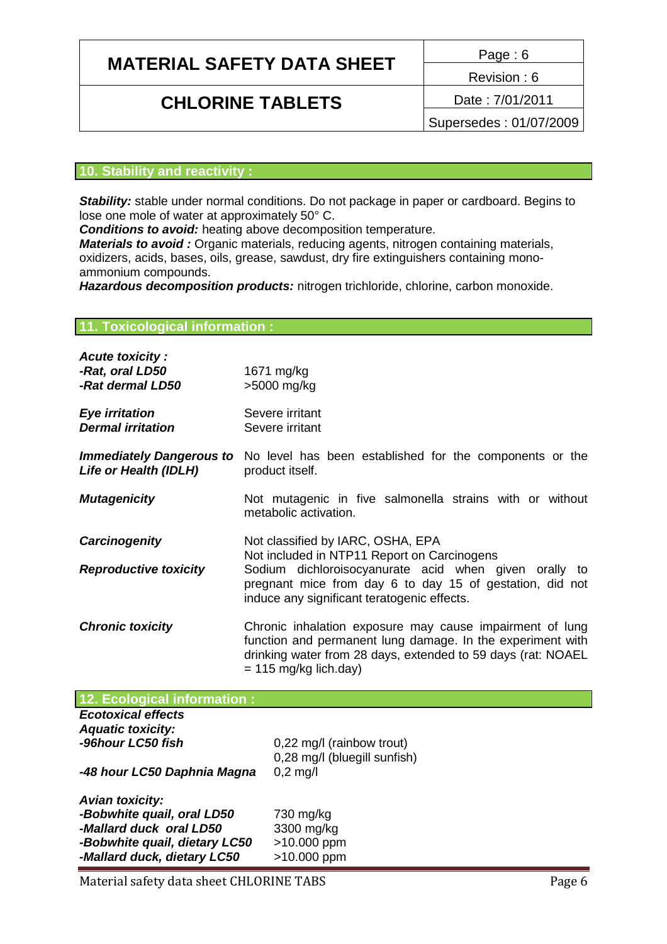# **MATERIAL SAFETY DATA SHEET**  $\frac{Page:6}{9}$

## **CHLORINE TABLETS** Date : 7/01/2011

Revision : 6

Supersedes : 01/07/2009

#### **10. Stability and reactivity :**

**Stability:** stable under normal conditions. Do not package in paper or cardboard. Begins to lose one mole of water at approximately 50° C.

*Conditions to avoid:* heating above decomposition temperature.

*Materials to avoid :* Organic materials, reducing agents, nitrogen containing materials, oxidizers, acids, bases, oils, grease, sawdust, dry fire extinguishers containing monoammonium compounds.

*Hazardous decomposition products:* nitrogen trichloride, chlorine, carbon monoxide.

#### **11. Toxicological information :**

| <b>Acute toxicity:</b><br>-Rat, oral LD50<br>-Rat dermal LD50 | 1671 mg/kg<br>>5000 mg/kg                                                                                                                                                                                                                            |
|---------------------------------------------------------------|------------------------------------------------------------------------------------------------------------------------------------------------------------------------------------------------------------------------------------------------------|
| <b>Eye irritation</b><br><b>Dermal irritation</b>             | Severe irritant<br>Severe irritant                                                                                                                                                                                                                   |
| Life or Health (IDLH)                                         | <b>Immediately Dangerous to</b> No level has been established for the components or the<br>product itself.                                                                                                                                           |
| <b>Mutagenicity</b>                                           | Not mutagenic in five salmonella strains with or without<br>metabolic activation.                                                                                                                                                                    |
| <b>Carcinogenity</b><br><b>Reproductive toxicity</b>          | Not classified by IARC, OSHA, EPA<br>Not included in NTP11 Report on Carcinogens<br>Sodium dichloroisocyanurate acid when given orally to<br>pregnant mice from day 6 to day 15 of gestation, did not<br>induce any significant teratogenic effects. |
| <b>Chronic toxicity</b>                                       | Chronic inhalation exposure may cause impairment of lung<br>function and permanent lung damage. In the experiment with<br>drinking water from 28 days, extended to 59 days (rat: NOAEL<br>$= 115$ mg/kg lich.day)                                    |

| 12. Ecological information :  |                              |
|-------------------------------|------------------------------|
| <b>Ecotoxical effects</b>     |                              |
| <b>Aquatic toxicity:</b>      |                              |
| -96hour LC50 fish             | 0,22 mg/l (rainbow trout)    |
|                               | 0,28 mg/l (bluegill sunfish) |
| -48 hour LC50 Daphnia Magna   | $0,2$ mg/l                   |
| <b>Avian toxicity:</b>        |                              |
| -Bobwhite quail, oral LD50    | 730 mg/kg                    |
|                               |                              |
| -Mallard duck oral LD50       | 3300 mg/kg                   |
| -Bobwhite quail, dietary LC50 | >10.000 ppm                  |
| -Mallard duck, dietary LC50   | >10.000 ppm                  |

Material safety data sheet CHLORINE TABS Page 6